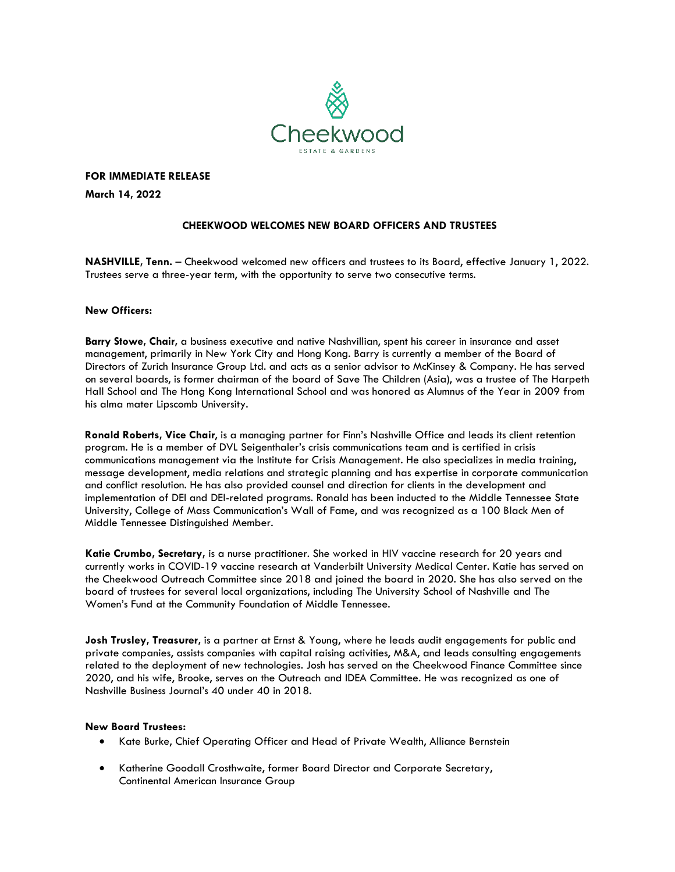

**FOR IMMEDIATE RELEASE**

**March 14, 2022** 

## **CHEEKWOOD WELCOMES NEW BOARD OFFICERS AND TRUSTEES**

**NASHVILLE, Tenn.** – Cheekwood welcomed new officers and trustees to its Board, effective January 1, 2022. Trustees serve a three-year term, with the opportunity to serve two consecutive terms.

#### **New Officers:**

**Barry Stowe, Chair,** a business executive and native Nashvillian, spent his career in insurance and asset management, primarily in New York City and Hong Kong. Barry is currently a member of the Board of Directors of Zurich Insurance Group Ltd. and acts as a senior advisor to McKinsey & Company. He has served on several boards, is former chairman of the board of Save The Children (Asia), was a trustee of The Harpeth Hall School and The Hong Kong International School and was honored as Alumnus of the Year in 2009 from his alma mater Lipscomb University.

**Ronald Roberts, Vice Chair**, is a managing partner for Finn's Nashville Office and leads its client retention program. He is a member of DVL Seigenthaler's crisis communications team and is certified in crisis communications management via the Institute for Crisis Management. He also specializes in media training, message development, media relations and strategic planning and has expertise in corporate communication and conflict resolution. He has also provided counsel and direction for clients in the development and implementation of DEI and DEI-related programs. Ronald has been inducted to the Middle Tennessee State University, College of Mass Communication's Wall of Fame, and was recognized as a 100 Black Men of Middle Tennessee Distinguished Member.

**Katie Crumbo, Secretary,** is a nurse practitioner. She worked in HIV vaccine research for 20 years and currently works in COVID-19 vaccine research at Vanderbilt University Medical Center. Katie has served on the Cheekwood Outreach Committee since 2018 and joined the board in 2020. She has also served on the board of trustees for several local organizations, including The University School of Nashville and The Women's Fund at the Community Foundation of Middle Tennessee.

**Josh Trusley, Treasurer,** is a partner at Ernst & Young, where he leads audit engagements for public and private companies, assists companies with capital raising activities, M&A, and leads consulting engagements related to the deployment of new technologies. Josh has served on the Cheekwood Finance Committee since 2020, and his wife, Brooke, serves on the Outreach and IDEA Committee. He was recognized as one of Nashville Business Journal's 40 under 40 in 2018.

#### **New Board Trustees:**

- Kate Burke, Chief Operating Officer and Head of Private Wealth, Alliance Bernstein
- Katherine Goodall Crosthwaite, former Board Director and Corporate Secretary, Continental American Insurance Group